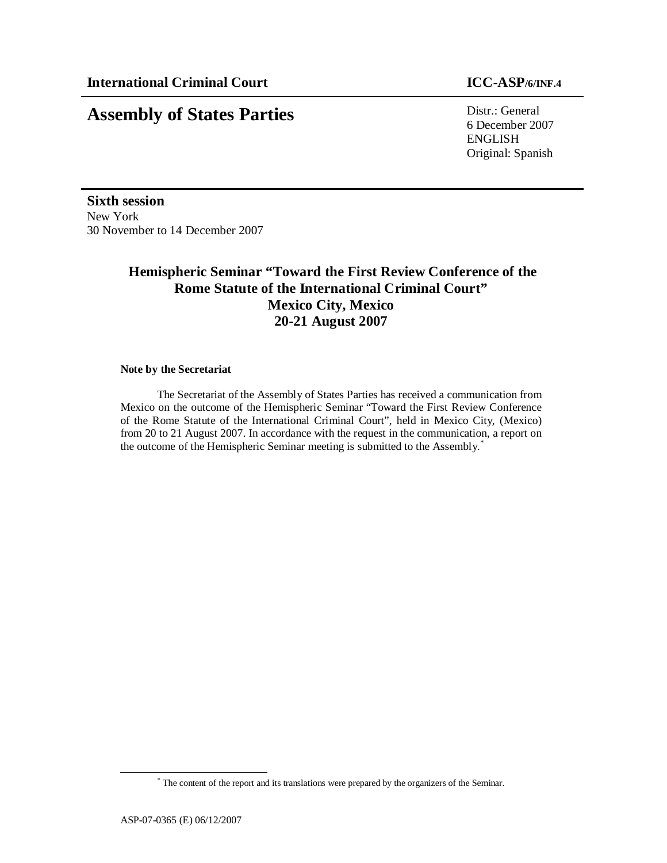# **Assembly of States Parties** Distr.: General

6 December 2007 ENGLISH Original: Spanish

**Sixth session**  New York 30 November to 14 December 2007

# **Hemispheric Seminar "Toward the First Review Conference of the Rome Statute of the International Criminal Court" Mexico City, Mexico 20-21 August 2007**

#### **Note by the Secretariat**

 The Secretariat of the Assembly of States Parties has received a communication from Mexico on the outcome of the Hemispheric Seminar "Toward the First Review Conference of the Rome Statute of the International Criminal Court", held in Mexico City, (Mexico) from 20 to 21 August 2007. In accordance with the request in the communication, a report on the outcome of the Hemispheric Seminar meeting is submitted to the Assembly.<sup>\*</sup>

 $\overline{a}$ 

<sup>\*</sup> The content of the report and its translations were prepared by the organizers of the Seminar.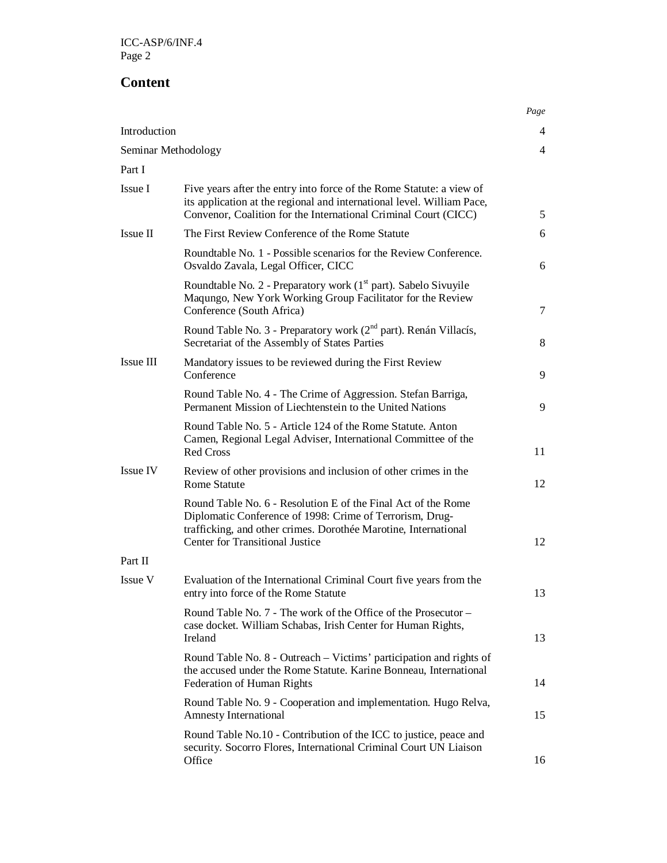# **Content**

|                     |                                                                                                                                                                                                                                        | Page           |  |
|---------------------|----------------------------------------------------------------------------------------------------------------------------------------------------------------------------------------------------------------------------------------|----------------|--|
| Introduction        |                                                                                                                                                                                                                                        |                |  |
| Seminar Methodology |                                                                                                                                                                                                                                        | $\overline{4}$ |  |
| Part I              |                                                                                                                                                                                                                                        |                |  |
| Issue I             | Five years after the entry into force of the Rome Statute: a view of<br>its application at the regional and international level. William Pace,<br>Convenor, Coalition for the International Criminal Court (CICC)                      | 5              |  |
| Issue II            | The First Review Conference of the Rome Statute                                                                                                                                                                                        | 6              |  |
|                     | Roundtable No. 1 - Possible scenarios for the Review Conference.<br>Osvaldo Zavala, Legal Officer, CICC                                                                                                                                | 6              |  |
|                     | Roundtable No. 2 - Preparatory work (1 <sup>st</sup> part). Sabelo Sivuyile<br>Maqungo, New York Working Group Facilitator for the Review<br>Conference (South Africa)                                                                 | 7              |  |
|                     | Round Table No. 3 - Preparatory work (2 <sup>nd</sup> part). Renán Villacís,<br>Secretariat of the Assembly of States Parties                                                                                                          | 8              |  |
| Issue III           | Mandatory issues to be reviewed during the First Review<br>Conference                                                                                                                                                                  | 9              |  |
|                     | Round Table No. 4 - The Crime of Aggression. Stefan Barriga,<br>Permanent Mission of Liechtenstein to the United Nations                                                                                                               | 9              |  |
|                     | Round Table No. 5 - Article 124 of the Rome Statute. Anton<br>Camen, Regional Legal Adviser, International Committee of the<br><b>Red Cross</b>                                                                                        | 11             |  |
| Issue IV            | Review of other provisions and inclusion of other crimes in the<br><b>Rome Statute</b>                                                                                                                                                 | 12             |  |
|                     | Round Table No. 6 - Resolution E of the Final Act of the Rome<br>Diplomatic Conference of 1998: Crime of Terrorism, Drug-<br>trafficking, and other crimes. Dorothée Marotine, International<br><b>Center for Transitional Justice</b> | 12             |  |
| Part II             |                                                                                                                                                                                                                                        |                |  |
| Issue V             | Evaluation of the International Criminal Court five years from the<br>entry into force of the Rome Statute                                                                                                                             | 13             |  |
|                     | Round Table No. 7 - The work of the Office of the Prosecutor -<br>case docket. William Schabas, Irish Center for Human Rights,<br>Ireland                                                                                              | 13             |  |
|                     | Round Table No. 8 - Outreach – Victims' participation and rights of<br>the accused under the Rome Statute. Karine Bonneau, International<br><b>Federation of Human Rights</b>                                                          | 14             |  |
|                     | Round Table No. 9 - Cooperation and implementation. Hugo Relva,<br><b>Amnesty International</b>                                                                                                                                        | 15             |  |
|                     | Round Table No.10 - Contribution of the ICC to justice, peace and<br>security. Socorro Flores, International Criminal Court UN Liaison<br>Office                                                                                       | 16             |  |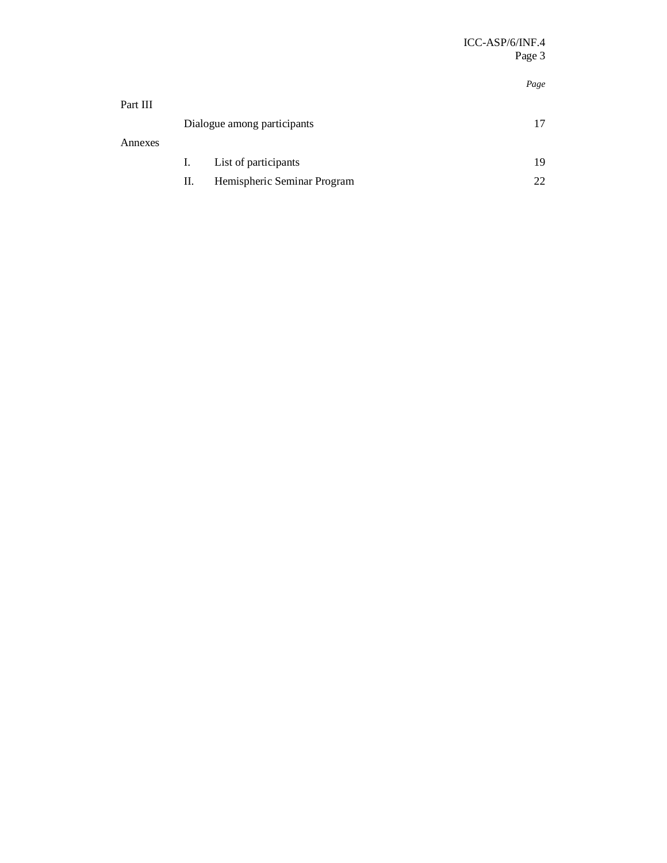# *Page*

| Part III |                             |                             |    |  |
|----------|-----------------------------|-----------------------------|----|--|
|          | Dialogue among participants |                             |    |  |
| Annexes  |                             |                             |    |  |
|          | I.                          | List of participants        | 19 |  |
|          | П.                          | Hemispheric Seminar Program |    |  |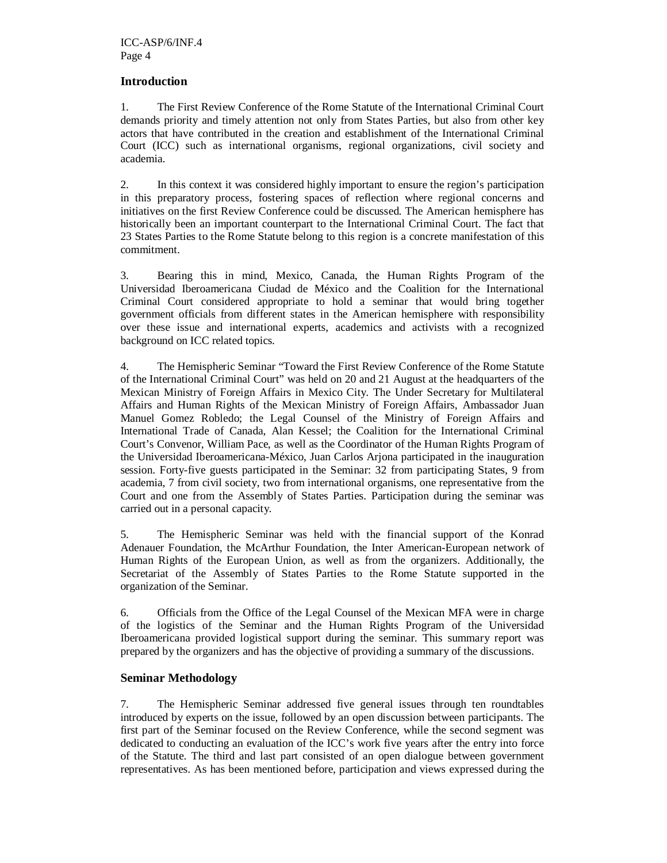### **Introduction**

1. The First Review Conference of the Rome Statute of the International Criminal Court demands priority and timely attention not only from States Parties, but also from other key actors that have contributed in the creation and establishment of the International Criminal Court (ICC) such as international organisms, regional organizations, civil society and academia.

2. In this context it was considered highly important to ensure the region's participation in this preparatory process, fostering spaces of reflection where regional concerns and initiatives on the first Review Conference could be discussed. The American hemisphere has historically been an important counterpart to the International Criminal Court. The fact that 23 States Parties to the Rome Statute belong to this region is a concrete manifestation of this commitment.

3. Bearing this in mind, Mexico, Canada, the Human Rights Program of the Universidad Iberoamericana Ciudad de México and the Coalition for the International Criminal Court considered appropriate to hold a seminar that would bring together government officials from different states in the American hemisphere with responsibility over these issue and international experts, academics and activists with a recognized background on ICC related topics.

4. The Hemispheric Seminar "Toward the First Review Conference of the Rome Statute of the International Criminal Court" was held on 20 and 21 August at the headquarters of the Mexican Ministry of Foreign Affairs in Mexico City. The Under Secretary for Multilateral Affairs and Human Rights of the Mexican Ministry of Foreign Affairs, Ambassador Juan Manuel Gomez Robledo; the Legal Counsel of the Ministry of Foreign Affairs and International Trade of Canada, Alan Kessel; the Coalition for the International Criminal Court's Convenor, William Pace, as well as the Coordinator of the Human Rights Program of the Universidad Iberoamericana-México, Juan Carlos Arjona participated in the inauguration session. Forty-five guests participated in the Seminar: 32 from participating States, 9 from academia, 7 from civil society, two from international organisms, one representative from the Court and one from the Assembly of States Parties. Participation during the seminar was carried out in a personal capacity.

5. The Hemispheric Seminar was held with the financial support of the Konrad Adenauer Foundation, the McArthur Foundation, the Inter American-European network of Human Rights of the European Union, as well as from the organizers. Additionally, the Secretariat of the Assembly of States Parties to the Rome Statute supported in the organization of the Seminar.

6. Officials from the Office of the Legal Counsel of the Mexican MFA were in charge of the logistics of the Seminar and the Human Rights Program of the Universidad Iberoamericana provided logistical support during the seminar. This summary report was prepared by the organizers and has the objective of providing a summary of the discussions.

#### **Seminar Methodology**

7. The Hemispheric Seminar addressed five general issues through ten roundtables introduced by experts on the issue, followed by an open discussion between participants. The first part of the Seminar focused on the Review Conference, while the second segment was dedicated to conducting an evaluation of the ICC's work five years after the entry into force of the Statute. The third and last part consisted of an open dialogue between government representatives. As has been mentioned before, participation and views expressed during the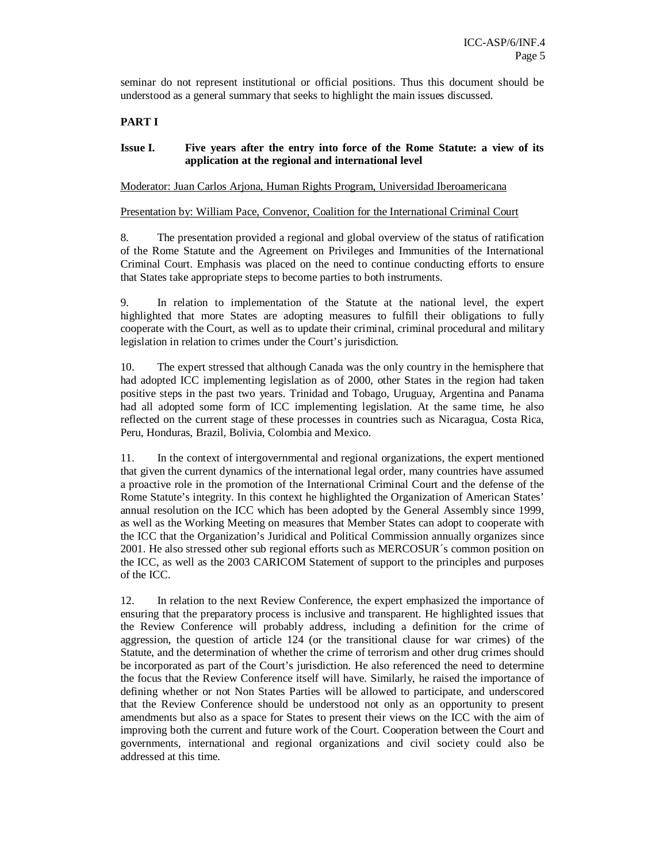seminar do not represent institutional or official positions. Thus this document should be understood as a general summary that seeks to highlight the main issues discussed.

#### **PART I**

#### **Issue I. Five years after the entry into force of the Rome Statute: a view of its application at the regional and international level**

Moderator: Juan Carlos Arjona, Human Rights Program, Universidad Iberoamericana

Presentation by: William Pace, Convenor, Coalition for the International Criminal Court

8. The presentation provided a regional and global overview of the status of ratification of the Rome Statute and the Agreement on Privileges and Immunities of the International Criminal Court. Emphasis was placed on the need to continue conducting efforts to ensure that States take appropriate steps to become parties to both instruments.

9. In relation to implementation of the Statute at the national level, the expert highlighted that more States are adopting measures to fulfill their obligations to fully cooperate with the Court, as well as to update their criminal, criminal procedural and military legislation in relation to crimes under the Court's jurisdiction.

10. The expert stressed that although Canada was the only country in the hemisphere that had adopted ICC implementing legislation as of 2000, other States in the region had taken positive steps in the past two years. Trinidad and Tobago, Uruguay, Argentina and Panama had all adopted some form of ICC implementing legislation. At the same time, he also reflected on the current stage of these processes in countries such as Nicaragua, Costa Rica, Peru, Honduras, Brazil, Bolivia, Colombia and Mexico.

11. In the context of intergovernmental and regional organizations, the expert mentioned that given the current dynamics of the international legal order, many countries have assumed a proactive role in the promotion of the International Criminal Court and the defense of the Rome Statute's integrity. In this context he highlighted the Organization of American States' annual resolution on the ICC which has been adopted by the General Assembly since 1999, as well as the Working Meeting on measures that Member States can adopt to cooperate with the ICC that the Organization's Juridical and Political Commission annually organizes since 2001. He also stressed other sub regional efforts such as MERCOSUR´s common position on the ICC, as well as the 2003 CARICOM Statement of support to the principles and purposes of the ICC.

12. In relation to the next Review Conference, the expert emphasized the importance of ensuring that the preparatory process is inclusive and transparent. He highlighted issues that the Review Conference will probably address, including a definition for the crime of aggression, the question of article 124 (or the transitional clause for war crimes) of the Statute, and the determination of whether the crime of terrorism and other drug crimes should be incorporated as part of the Court's jurisdiction. He also referenced the need to determine the focus that the Review Conference itself will have. Similarly, he raised the importance of defining whether or not Non States Parties will be allowed to participate, and underscored that the Review Conference should be understood not only as an opportunity to present amendments but also as a space for States to present their views on the ICC with the aim of improving both the current and future work of the Court. Cooperation between the Court and governments, international and regional organizations and civil society could also be addressed at this time.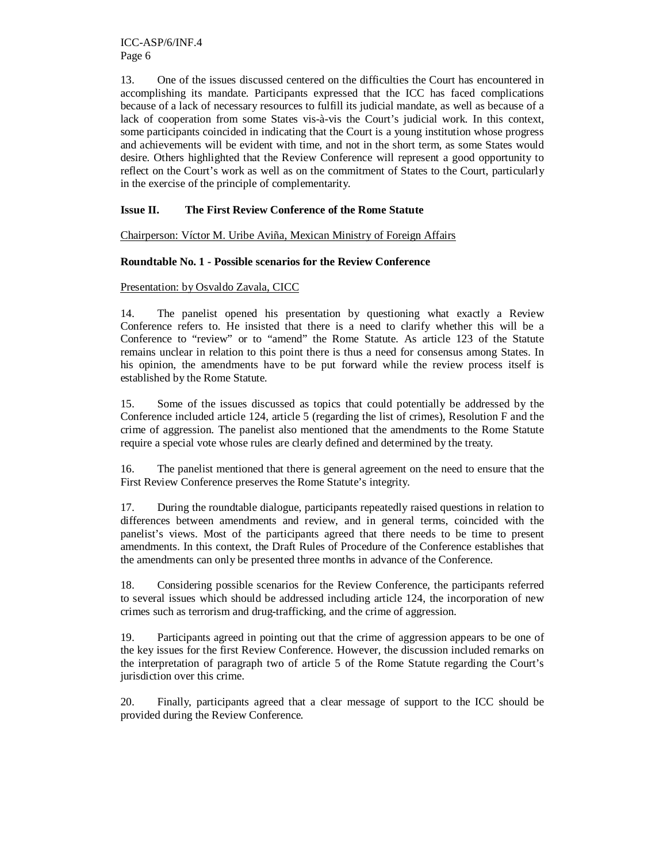13. One of the issues discussed centered on the difficulties the Court has encountered in accomplishing its mandate. Participants expressed that the ICC has faced complications because of a lack of necessary resources to fulfill its judicial mandate, as well as because of a lack of cooperation from some States vis-à-vis the Court's judicial work. In this context, some participants coincided in indicating that the Court is a young institution whose progress and achievements will be evident with time, and not in the short term, as some States would desire. Others highlighted that the Review Conference will represent a good opportunity to reflect on the Court's work as well as on the commitment of States to the Court, particularly in the exercise of the principle of complementarity.

# **Issue II. The First Review Conference of the Rome Statute**

Chairperson: Víctor M. Uribe Aviña, Mexican Ministry of Foreign Affairs

#### **Roundtable No. 1 - Possible scenarios for the Review Conference**

## Presentation: by Osvaldo Zavala, CICC

14. The panelist opened his presentation by questioning what exactly a Review Conference refers to. He insisted that there is a need to clarify whether this will be a Conference to "review" or to "amend" the Rome Statute. As article 123 of the Statute remains unclear in relation to this point there is thus a need for consensus among States. In his opinion, the amendments have to be put forward while the review process itself is established by the Rome Statute.

15. Some of the issues discussed as topics that could potentially be addressed by the Conference included article 124, article 5 (regarding the list of crimes), Resolution F and the crime of aggression. The panelist also mentioned that the amendments to the Rome Statute require a special vote whose rules are clearly defined and determined by the treaty.

16. The panelist mentioned that there is general agreement on the need to ensure that the First Review Conference preserves the Rome Statute's integrity.

17. During the roundtable dialogue, participants repeatedly raised questions in relation to differences between amendments and review, and in general terms, coincided with the panelist's views. Most of the participants agreed that there needs to be time to present amendments. In this context, the Draft Rules of Procedure of the Conference establishes that the amendments can only be presented three months in advance of the Conference.

18. Considering possible scenarios for the Review Conference, the participants referred to several issues which should be addressed including article 124, the incorporation of new crimes such as terrorism and drug-trafficking, and the crime of aggression.

19. Participants agreed in pointing out that the crime of aggression appears to be one of the key issues for the first Review Conference. However, the discussion included remarks on the interpretation of paragraph two of article 5 of the Rome Statute regarding the Court's jurisdiction over this crime.

20. Finally, participants agreed that a clear message of support to the ICC should be provided during the Review Conference.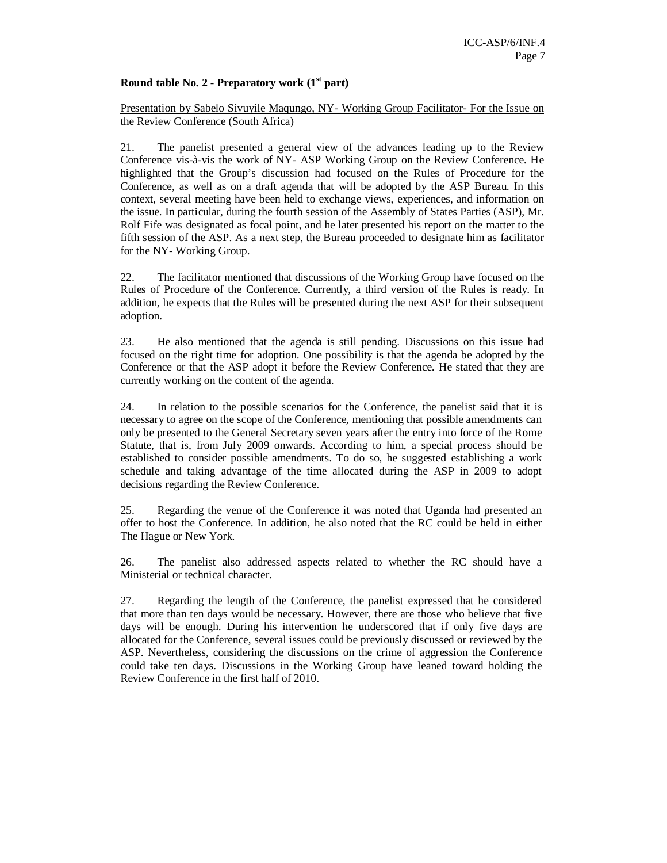#### **Round table No. 2 - Preparatory work (1st part)**

#### Presentation by Sabelo Sivuyile Maqungo, NY- Working Group Facilitator- For the Issue on the Review Conference (South Africa)

21. The panelist presented a general view of the advances leading up to the Review Conference vis-à-vis the work of NY- ASP Working Group on the Review Conference. He highlighted that the Group's discussion had focused on the Rules of Procedure for the Conference, as well as on a draft agenda that will be adopted by the ASP Bureau. In this context, several meeting have been held to exchange views, experiences, and information on the issue. In particular, during the fourth session of the Assembly of States Parties (ASP), Mr. Rolf Fife was designated as focal point, and he later presented his report on the matter to the fifth session of the ASP. As a next step, the Bureau proceeded to designate him as facilitator for the NY- Working Group.

22. The facilitator mentioned that discussions of the Working Group have focused on the Rules of Procedure of the Conference. Currently, a third version of the Rules is ready. In addition, he expects that the Rules will be presented during the next ASP for their subsequent adoption.

23. He also mentioned that the agenda is still pending. Discussions on this issue had focused on the right time for adoption. One possibility is that the agenda be adopted by the Conference or that the ASP adopt it before the Review Conference. He stated that they are currently working on the content of the agenda.

24. In relation to the possible scenarios for the Conference, the panelist said that it is necessary to agree on the scope of the Conference, mentioning that possible amendments can only be presented to the General Secretary seven years after the entry into force of the Rome Statute, that is, from July 2009 onwards. According to him, a special process should be established to consider possible amendments. To do so, he suggested establishing a work schedule and taking advantage of the time allocated during the ASP in 2009 to adopt decisions regarding the Review Conference.

25. Regarding the venue of the Conference it was noted that Uganda had presented an offer to host the Conference. In addition, he also noted that the RC could be held in either The Hague or New York.

26. The panelist also addressed aspects related to whether the RC should have a Ministerial or technical character.

27. Regarding the length of the Conference, the panelist expressed that he considered that more than ten days would be necessary. However, there are those who believe that five days will be enough. During his intervention he underscored that if only five days are allocated for the Conference, several issues could be previously discussed or reviewed by the ASP. Nevertheless, considering the discussions on the crime of aggression the Conference could take ten days. Discussions in the Working Group have leaned toward holding the Review Conference in the first half of 2010.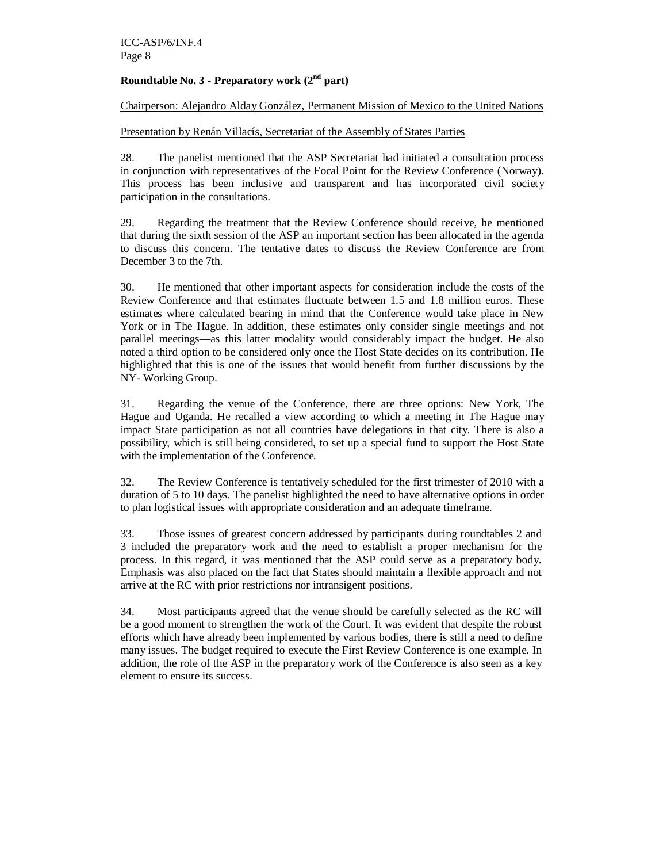# **Roundtable No. 3 - Preparatory work (2nd part)**

Chairperson: Alejandro Alday González, Permanent Mission of Mexico to the United Nations

Presentation by Renán Villacís, Secretariat of the Assembly of States Parties

28. The panelist mentioned that the ASP Secretariat had initiated a consultation process in conjunction with representatives of the Focal Point for the Review Conference (Norway). This process has been inclusive and transparent and has incorporated civil society participation in the consultations.

29. Regarding the treatment that the Review Conference should receive, he mentioned that during the sixth session of the ASP an important section has been allocated in the agenda to discuss this concern. The tentative dates to discuss the Review Conference are from December 3 to the 7th.

30. He mentioned that other important aspects for consideration include the costs of the Review Conference and that estimates fluctuate between 1.5 and 1.8 million euros. These estimates where calculated bearing in mind that the Conference would take place in New York or in The Hague. In addition, these estimates only consider single meetings and not parallel meetings—as this latter modality would considerably impact the budget. He also noted a third option to be considered only once the Host State decides on its contribution. He highlighted that this is one of the issues that would benefit from further discussions by the NY- Working Group.

31. Regarding the venue of the Conference, there are three options: New York, The Hague and Uganda. He recalled a view according to which a meeting in The Hague may impact State participation as not all countries have delegations in that city. There is also a possibility, which is still being considered, to set up a special fund to support the Host State with the implementation of the Conference.

32. The Review Conference is tentatively scheduled for the first trimester of 2010 with a duration of 5 to 10 days. The panelist highlighted the need to have alternative options in order to plan logistical issues with appropriate consideration and an adequate timeframe.

33. Those issues of greatest concern addressed by participants during roundtables 2 and 3 included the preparatory work and the need to establish a proper mechanism for the process. In this regard, it was mentioned that the ASP could serve as a preparatory body. Emphasis was also placed on the fact that States should maintain a flexible approach and not arrive at the RC with prior restrictions nor intransigent positions.

34. Most participants agreed that the venue should be carefully selected as the RC will be a good moment to strengthen the work of the Court. It was evident that despite the robust efforts which have already been implemented by various bodies, there is still a need to define many issues. The budget required to execute the First Review Conference is one example. In addition, the role of the ASP in the preparatory work of the Conference is also seen as a key element to ensure its success.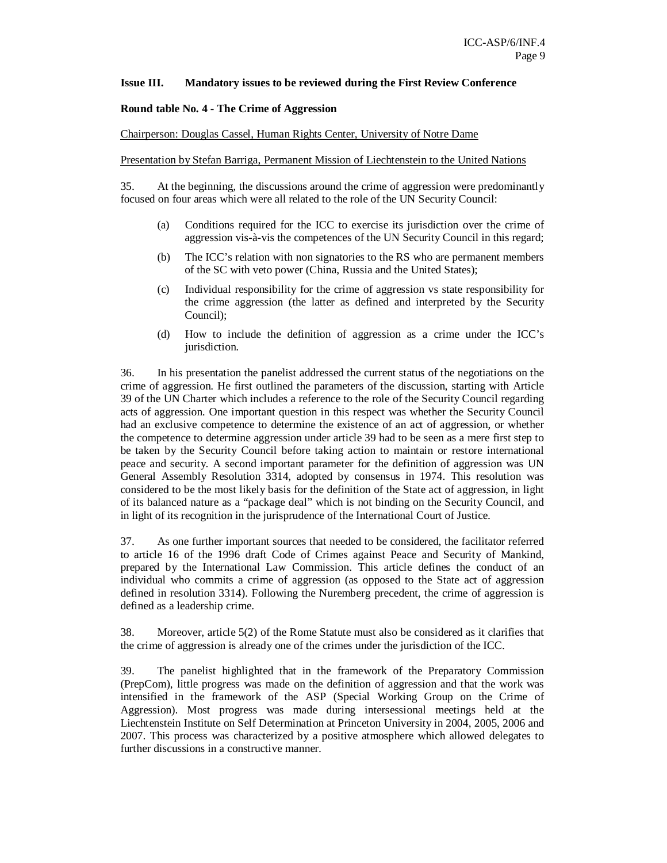#### **Issue III. Mandatory issues to be reviewed during the First Review Conference**

#### **Round table No. 4 - The Crime of Aggression**

#### Chairperson: Douglas Cassel, Human Rights Center, University of Notre Dame

Presentation by Stefan Barriga, Permanent Mission of Liechtenstein to the United Nations

35. At the beginning, the discussions around the crime of aggression were predominantly focused on four areas which were all related to the role of the UN Security Council:

- (a) Conditions required for the ICC to exercise its jurisdiction over the crime of aggression vis-à-vis the competences of the UN Security Council in this regard;
- (b) The ICC's relation with non signatories to the RS who are permanent members of the SC with veto power (China, Russia and the United States);
- (c) Individual responsibility for the crime of aggression vs state responsibility for the crime aggression (the latter as defined and interpreted by the Security Council);
- (d) How to include the definition of aggression as a crime under the ICC's jurisdiction.

36. In his presentation the panelist addressed the current status of the negotiations on the crime of aggression. He first outlined the parameters of the discussion, starting with Article 39 of the UN Charter which includes a reference to the role of the Security Council regarding acts of aggression. One important question in this respect was whether the Security Council had an exclusive competence to determine the existence of an act of aggression, or whether the competence to determine aggression under article 39 had to be seen as a mere first step to be taken by the Security Council before taking action to maintain or restore international peace and security. A second important parameter for the definition of aggression was UN General Assembly Resolution 3314, adopted by consensus in 1974. This resolution was considered to be the most likely basis for the definition of the State act of aggression, in light of its balanced nature as a "package deal" which is not binding on the Security Council, and in light of its recognition in the jurisprudence of the International Court of Justice.

37. As one further important sources that needed to be considered, the facilitator referred to article 16 of the 1996 draft Code of Crimes against Peace and Security of Mankind, prepared by the International Law Commission. This article defines the conduct of an individual who commits a crime of aggression (as opposed to the State act of aggression defined in resolution 3314). Following the Nuremberg precedent, the crime of aggression is defined as a leadership crime.

38. Moreover, article 5(2) of the Rome Statute must also be considered as it clarifies that the crime of aggression is already one of the crimes under the jurisdiction of the ICC.

39. The panelist highlighted that in the framework of the Preparatory Commission (PrepCom), little progress was made on the definition of aggression and that the work was intensified in the framework of the ASP (Special Working Group on the Crime of Aggression). Most progress was made during intersessional meetings held at the Liechtenstein Institute on Self Determination at Princeton University in 2004, 2005, 2006 and 2007. This process was characterized by a positive atmosphere which allowed delegates to further discussions in a constructive manner.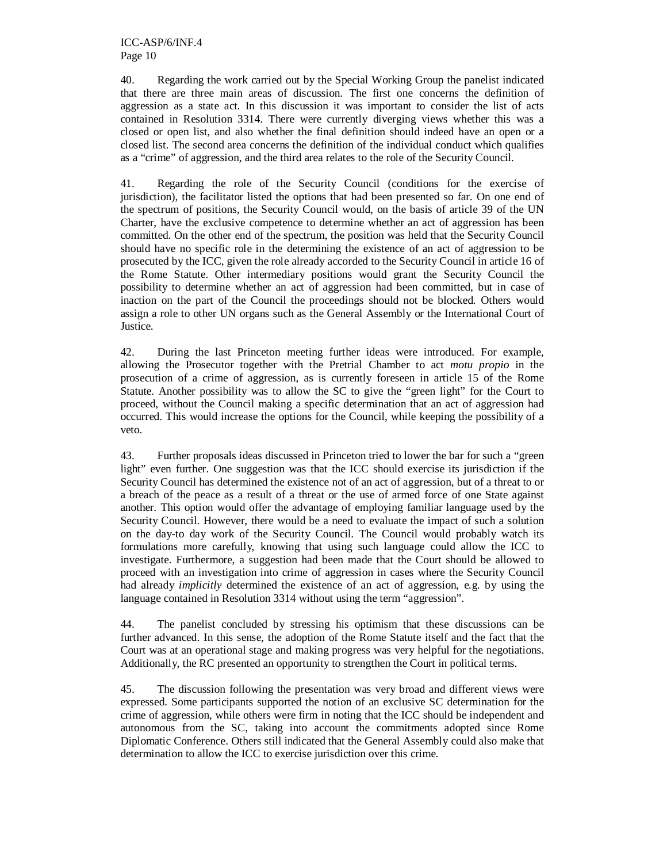40. Regarding the work carried out by the Special Working Group the panelist indicated that there are three main areas of discussion. The first one concerns the definition of aggression as a state act. In this discussion it was important to consider the list of acts contained in Resolution 3314. There were currently diverging views whether this was a closed or open list, and also whether the final definition should indeed have an open or a closed list. The second area concerns the definition of the individual conduct which qualifies as a "crime" of aggression, and the third area relates to the role of the Security Council.

41. Regarding the role of the Security Council (conditions for the exercise of jurisdiction), the facilitator listed the options that had been presented so far. On one end of the spectrum of positions, the Security Council would, on the basis of article 39 of the UN Charter, have the exclusive competence to determine whether an act of aggression has been committed. On the other end of the spectrum, the position was held that the Security Council should have no specific role in the determining the existence of an act of aggression to be prosecuted by the ICC, given the role already accorded to the Security Council in article 16 of the Rome Statute. Other intermediary positions would grant the Security Council the possibility to determine whether an act of aggression had been committed, but in case of inaction on the part of the Council the proceedings should not be blocked. Others would assign a role to other UN organs such as the General Assembly or the International Court of Justice.

42. During the last Princeton meeting further ideas were introduced. For example, allowing the Prosecutor together with the Pretrial Chamber to act *motu propio* in the prosecution of a crime of aggression, as is currently foreseen in article 15 of the Rome Statute. Another possibility was to allow the SC to give the "green light" for the Court to proceed, without the Council making a specific determination that an act of aggression had occurred. This would increase the options for the Council, while keeping the possibility of a veto.

43. Further proposals ideas discussed in Princeton tried to lower the bar for such a "green light" even further. One suggestion was that the ICC should exercise its jurisdiction if the Security Council has determined the existence not of an act of aggression, but of a threat to or a breach of the peace as a result of a threat or the use of armed force of one State against another. This option would offer the advantage of employing familiar language used by the Security Council. However, there would be a need to evaluate the impact of such a solution on the day-to day work of the Security Council. The Council would probably watch its formulations more carefully, knowing that using such language could allow the ICC to investigate. Furthermore, a suggestion had been made that the Court should be allowed to proceed with an investigation into crime of aggression in cases where the Security Council had already *implicitly* determined the existence of an act of aggression, e.g. by using the language contained in Resolution 3314 without using the term "aggression".

44. The panelist concluded by stressing his optimism that these discussions can be further advanced. In this sense, the adoption of the Rome Statute itself and the fact that the Court was at an operational stage and making progress was very helpful for the negotiations. Additionally, the RC presented an opportunity to strengthen the Court in political terms.

45. The discussion following the presentation was very broad and different views were expressed. Some participants supported the notion of an exclusive SC determination for the crime of aggression, while others were firm in noting that the ICC should be independent and autonomous from the SC, taking into account the commitments adopted since Rome Diplomatic Conference. Others still indicated that the General Assembly could also make that determination to allow the ICC to exercise jurisdiction over this crime.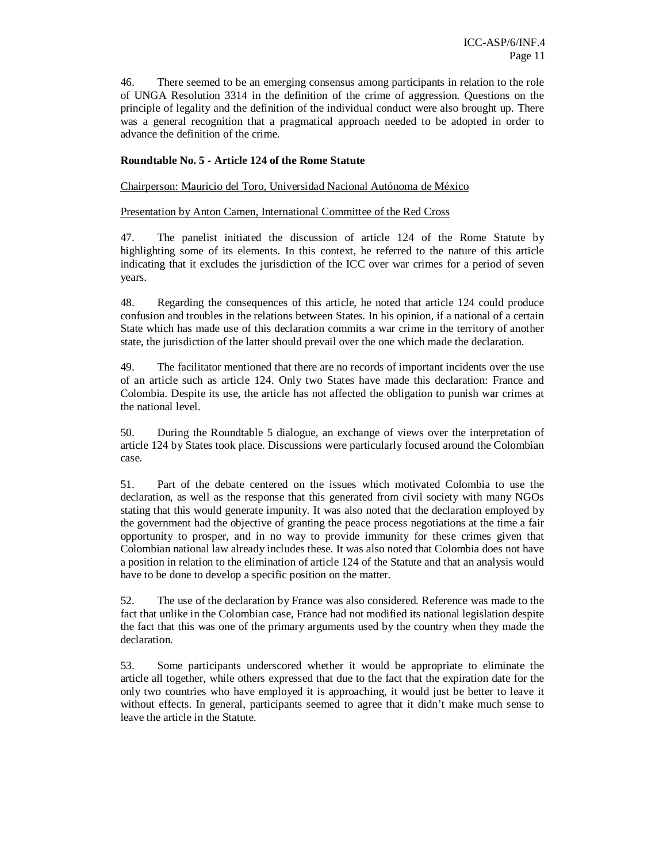46. There seemed to be an emerging consensus among participants in relation to the role of UNGA Resolution 3314 in the definition of the crime of aggression. Questions on the principle of legality and the definition of the individual conduct were also brought up. There was a general recognition that a pragmatical approach needed to be adopted in order to advance the definition of the crime.

#### **Roundtable No. 5 - Article 124 of the Rome Statute**

Chairperson: Mauricio del Toro, Universidad Nacional Autónoma de México

#### Presentation by Anton Camen, International Committee of the Red Cross

47. The panelist initiated the discussion of article 124 of the Rome Statute by highlighting some of its elements. In this context, he referred to the nature of this article indicating that it excludes the jurisdiction of the ICC over war crimes for a period of seven years.

48. Regarding the consequences of this article, he noted that article 124 could produce confusion and troubles in the relations between States. In his opinion, if a national of a certain State which has made use of this declaration commits a war crime in the territory of another state, the jurisdiction of the latter should prevail over the one which made the declaration.

49. The facilitator mentioned that there are no records of important incidents over the use of an article such as article 124. Only two States have made this declaration: France and Colombia. Despite its use, the article has not affected the obligation to punish war crimes at the national level.

50. During the Roundtable 5 dialogue, an exchange of views over the interpretation of article 124 by States took place. Discussions were particularly focused around the Colombian case.

51. Part of the debate centered on the issues which motivated Colombia to use the declaration, as well as the response that this generated from civil society with many NGOs stating that this would generate impunity. It was also noted that the declaration employed by the government had the objective of granting the peace process negotiations at the time a fair opportunity to prosper, and in no way to provide immunity for these crimes given that Colombian national law already includes these. It was also noted that Colombia does not have a position in relation to the elimination of article 124 of the Statute and that an analysis would have to be done to develop a specific position on the matter.

52. The use of the declaration by France was also considered. Reference was made to the fact that unlike in the Colombian case, France had not modified its national legislation despite the fact that this was one of the primary arguments used by the country when they made the declaration.

53. Some participants underscored whether it would be appropriate to eliminate the article all together, while others expressed that due to the fact that the expiration date for the only two countries who have employed it is approaching, it would just be better to leave it without effects. In general, participants seemed to agree that it didn't make much sense to leave the article in the Statute.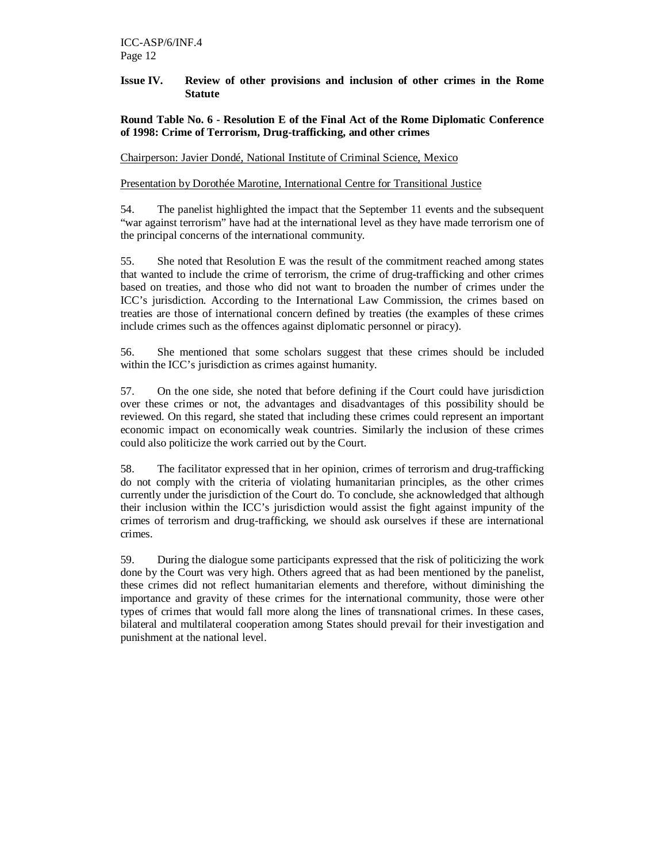#### **Issue IV. Review of other provisions and inclusion of other crimes in the Rome Statute**

#### **Round Table No. 6 - Resolution E of the Final Act of the Rome Diplomatic Conference of 1998: Crime of Terrorism, Drug-trafficking, and other crimes**

Chairperson: Javier Dondé, National Institute of Criminal Science, Mexico

#### Presentation by Dorothée Marotine, International Centre for Transitional Justice

54. The panelist highlighted the impact that the September 11 events and the subsequent "war against terrorism" have had at the international level as they have made terrorism one of the principal concerns of the international community.

55. She noted that Resolution E was the result of the commitment reached among states that wanted to include the crime of terrorism, the crime of drug-trafficking and other crimes based on treaties, and those who did not want to broaden the number of crimes under the ICC's jurisdiction. According to the International Law Commission, the crimes based on treaties are those of international concern defined by treaties (the examples of these crimes include crimes such as the offences against diplomatic personnel or piracy).

56. She mentioned that some scholars suggest that these crimes should be included within the ICC's jurisdiction as crimes against humanity.

57. On the one side, she noted that before defining if the Court could have jurisdiction over these crimes or not, the advantages and disadvantages of this possibility should be reviewed. On this regard, she stated that including these crimes could represent an important economic impact on economically weak countries. Similarly the inclusion of these crimes could also politicize the work carried out by the Court.

58. The facilitator expressed that in her opinion, crimes of terrorism and drug-trafficking do not comply with the criteria of violating humanitarian principles, as the other crimes currently under the jurisdiction of the Court do. To conclude, she acknowledged that although their inclusion within the ICC's jurisdiction would assist the fight against impunity of the crimes of terrorism and drug-trafficking, we should ask ourselves if these are international crimes.

59. During the dialogue some participants expressed that the risk of politicizing the work done by the Court was very high. Others agreed that as had been mentioned by the panelist, these crimes did not reflect humanitarian elements and therefore, without diminishing the importance and gravity of these crimes for the international community, those were other types of crimes that would fall more along the lines of transnational crimes. In these cases, bilateral and multilateral cooperation among States should prevail for their investigation and punishment at the national level.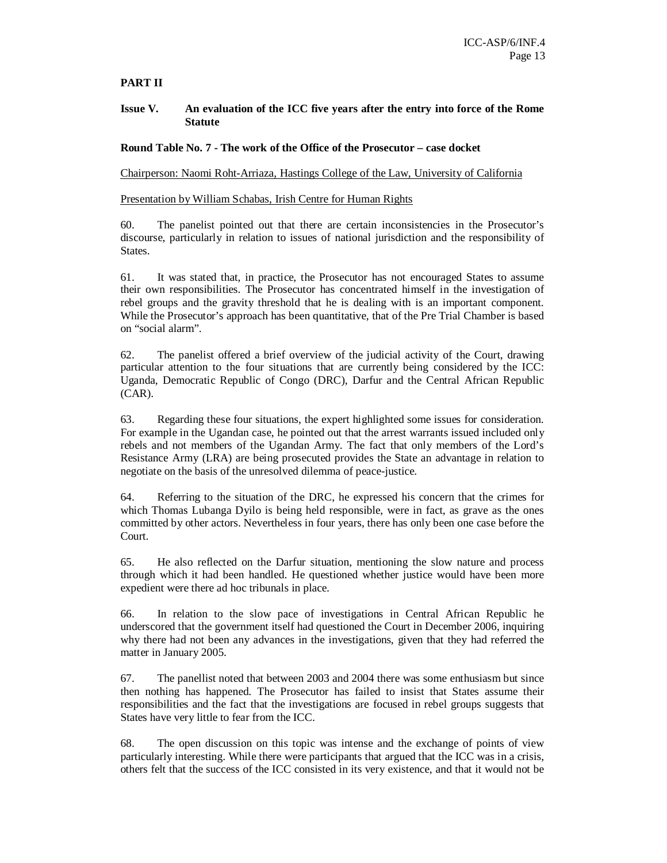# **PART II**

#### **Issue V. An evaluation of the ICC five years after the entry into force of the Rome Statute**

**Round Table No. 7 - The work of the Office of the Prosecutor – case docket** 

Chairperson: Naomi Roht-Arriaza, Hastings College of the Law, University of California

Presentation by William Schabas, Irish Centre for Human Rights

60. The panelist pointed out that there are certain inconsistencies in the Prosecutor's discourse, particularly in relation to issues of national jurisdiction and the responsibility of States.

61. It was stated that, in practice, the Prosecutor has not encouraged States to assume their own responsibilities. The Prosecutor has concentrated himself in the investigation of rebel groups and the gravity threshold that he is dealing with is an important component. While the Prosecutor's approach has been quantitative, that of the Pre Trial Chamber is based on "social alarm".

62. The panelist offered a brief overview of the judicial activity of the Court, drawing particular attention to the four situations that are currently being considered by the ICC: Uganda, Democratic Republic of Congo (DRC), Darfur and the Central African Republic (CAR).

63. Regarding these four situations, the expert highlighted some issues for consideration. For example in the Ugandan case, he pointed out that the arrest warrants issued included only rebels and not members of the Ugandan Army. The fact that only members of the Lord's Resistance Army (LRA) are being prosecuted provides the State an advantage in relation to negotiate on the basis of the unresolved dilemma of peace-justice.

64. Referring to the situation of the DRC, he expressed his concern that the crimes for which Thomas Lubanga Dyilo is being held responsible, were in fact, as grave as the ones committed by other actors. Nevertheless in four years, there has only been one case before the Court.

65. He also reflected on the Darfur situation, mentioning the slow nature and process through which it had been handled. He questioned whether justice would have been more expedient were there ad hoc tribunals in place.

66. In relation to the slow pace of investigations in Central African Republic he underscored that the government itself had questioned the Court in December 2006, inquiring why there had not been any advances in the investigations, given that they had referred the matter in January 2005.

67. The panellist noted that between 2003 and 2004 there was some enthusiasm but since then nothing has happened. The Prosecutor has failed to insist that States assume their responsibilities and the fact that the investigations are focused in rebel groups suggests that States have very little to fear from the ICC.

68. The open discussion on this topic was intense and the exchange of points of view particularly interesting. While there were participants that argued that the ICC was in a crisis, others felt that the success of the ICC consisted in its very existence, and that it would not be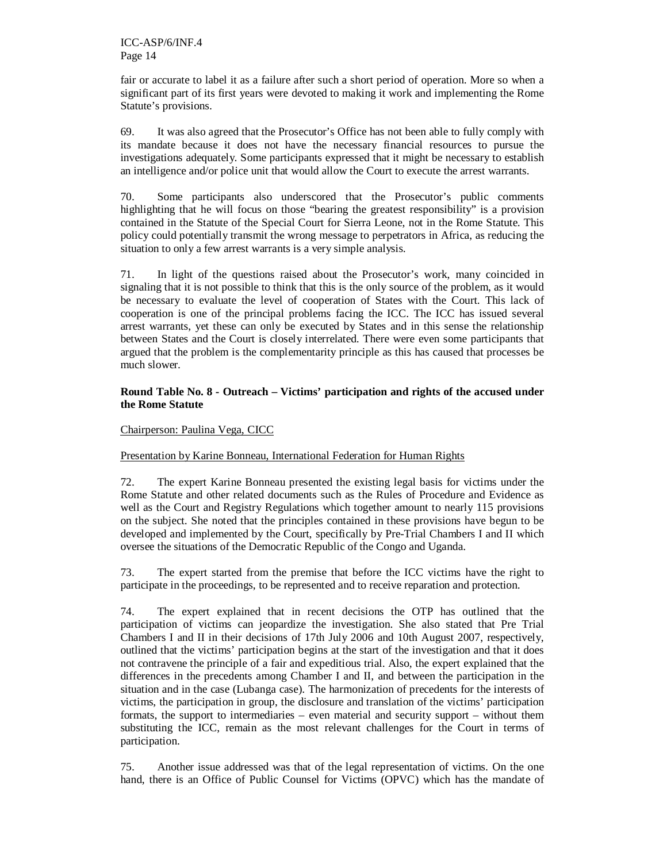fair or accurate to label it as a failure after such a short period of operation. More so when a significant part of its first years were devoted to making it work and implementing the Rome Statute's provisions.

69. It was also agreed that the Prosecutor's Office has not been able to fully comply with its mandate because it does not have the necessary financial resources to pursue the investigations adequately. Some participants expressed that it might be necessary to establish an intelligence and/or police unit that would allow the Court to execute the arrest warrants.

70. Some participants also underscored that the Prosecutor's public comments highlighting that he will focus on those "bearing the greatest responsibility" is a provision contained in the Statute of the Special Court for Sierra Leone, not in the Rome Statute. This policy could potentially transmit the wrong message to perpetrators in Africa, as reducing the situation to only a few arrest warrants is a very simple analysis.

71. In light of the questions raised about the Prosecutor's work, many coincided in signaling that it is not possible to think that this is the only source of the problem, as it would be necessary to evaluate the level of cooperation of States with the Court. This lack of cooperation is one of the principal problems facing the ICC. The ICC has issued several arrest warrants, yet these can only be executed by States and in this sense the relationship between States and the Court is closely interrelated. There were even some participants that argued that the problem is the complementarity principle as this has caused that processes be much slower.

#### **Round Table No. 8 - Outreach – Victims' participation and rights of the accused under the Rome Statute**

## Chairperson: Paulina Vega, CICC

# Presentation by Karine Bonneau, International Federation for Human Rights

72. The expert Karine Bonneau presented the existing legal basis for victims under the Rome Statute and other related documents such as the Rules of Procedure and Evidence as well as the Court and Registry Regulations which together amount to nearly 115 provisions on the subject. She noted that the principles contained in these provisions have begun to be developed and implemented by the Court, specifically by Pre-Trial Chambers I and II which oversee the situations of the Democratic Republic of the Congo and Uganda.

73. The expert started from the premise that before the ICC victims have the right to participate in the proceedings, to be represented and to receive reparation and protection.

74. The expert explained that in recent decisions the OTP has outlined that the participation of victims can jeopardize the investigation. She also stated that Pre Trial Chambers I and II in their decisions of 17th July 2006 and 10th August 2007, respectively, outlined that the victims' participation begins at the start of the investigation and that it does not contravene the principle of a fair and expeditious trial. Also, the expert explained that the differences in the precedents among Chamber I and II, and between the participation in the situation and in the case (Lubanga case). The harmonization of precedents for the interests of victims, the participation in group, the disclosure and translation of the victims' participation formats, the support to intermediaries – even material and security support – without them substituting the ICC, remain as the most relevant challenges for the Court in terms of participation.

75. Another issue addressed was that of the legal representation of victims. On the one hand, there is an Office of Public Counsel for Victims (OPVC) which has the mandate of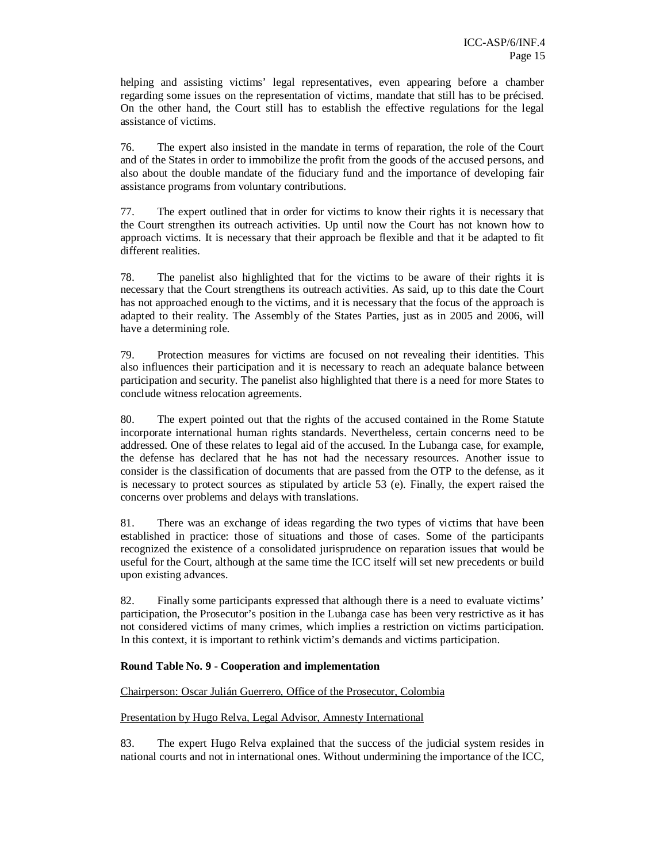helping and assisting victims' legal representatives, even appearing before a chamber regarding some issues on the representation of victims, mandate that still has to be précised. On the other hand, the Court still has to establish the effective regulations for the legal assistance of victims.

76. The expert also insisted in the mandate in terms of reparation, the role of the Court and of the States in order to immobilize the profit from the goods of the accused persons, and also about the double mandate of the fiduciary fund and the importance of developing fair assistance programs from voluntary contributions.

77. The expert outlined that in order for victims to know their rights it is necessary that the Court strengthen its outreach activities. Up until now the Court has not known how to approach victims. It is necessary that their approach be flexible and that it be adapted to fit different realities.

78. The panelist also highlighted that for the victims to be aware of their rights it is necessary that the Court strengthens its outreach activities. As said, up to this date the Court has not approached enough to the victims, and it is necessary that the focus of the approach is adapted to their reality. The Assembly of the States Parties, just as in 2005 and 2006, will have a determining role.

79. Protection measures for victims are focused on not revealing their identities. This also influences their participation and it is necessary to reach an adequate balance between participation and security. The panelist also highlighted that there is a need for more States to conclude witness relocation agreements.

80. The expert pointed out that the rights of the accused contained in the Rome Statute incorporate international human rights standards. Nevertheless, certain concerns need to be addressed. One of these relates to legal aid of the accused. In the Lubanga case, for example, the defense has declared that he has not had the necessary resources. Another issue to consider is the classification of documents that are passed from the OTP to the defense, as it is necessary to protect sources as stipulated by article 53 (e). Finally, the expert raised the concerns over problems and delays with translations.

81. There was an exchange of ideas regarding the two types of victims that have been established in practice: those of situations and those of cases. Some of the participants recognized the existence of a consolidated jurisprudence on reparation issues that would be useful for the Court, although at the same time the ICC itself will set new precedents or build upon existing advances.

82. Finally some participants expressed that although there is a need to evaluate victims' participation, the Prosecutor's position in the Lubanga case has been very restrictive as it has not considered victims of many crimes, which implies a restriction on victims participation. In this context, it is important to rethink victim's demands and victims participation.

#### **Round Table No. 9 - Cooperation and implementation**

#### Chairperson: Oscar Julián Guerrero, Office of the Prosecutor, Colombia

#### Presentation by Hugo Relva, Legal Advisor, Amnesty International

83. The expert Hugo Relva explained that the success of the judicial system resides in national courts and not in international ones. Without undermining the importance of the ICC,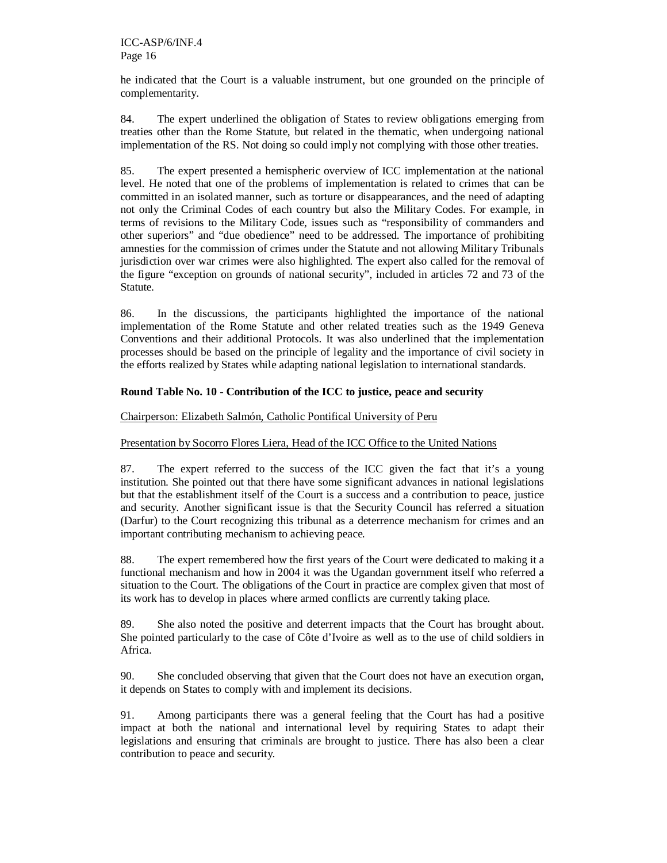he indicated that the Court is a valuable instrument, but one grounded on the principle of complementarity.

84. The expert underlined the obligation of States to review obligations emerging from treaties other than the Rome Statute, but related in the thematic, when undergoing national implementation of the RS. Not doing so could imply not complying with those other treaties.

85. The expert presented a hemispheric overview of ICC implementation at the national level. He noted that one of the problems of implementation is related to crimes that can be committed in an isolated manner, such as torture or disappearances, and the need of adapting not only the Criminal Codes of each country but also the Military Codes. For example, in terms of revisions to the Military Code, issues such as "responsibility of commanders and other superiors" and "due obedience" need to be addressed. The importance of prohibiting amnesties for the commission of crimes under the Statute and not allowing Military Tribunals jurisdiction over war crimes were also highlighted. The expert also called for the removal of the figure "exception on grounds of national security", included in articles 72 and 73 of the Statute.

86. In the discussions, the participants highlighted the importance of the national implementation of the Rome Statute and other related treaties such as the 1949 Geneva Conventions and their additional Protocols. It was also underlined that the implementation processes should be based on the principle of legality and the importance of civil society in the efforts realized by States while adapting national legislation to international standards.

## **Round Table No. 10 - Contribution of the ICC to justice, peace and security**

#### Chairperson: Elizabeth Salmón, Catholic Pontifical University of Peru

#### Presentation by Socorro Flores Liera, Head of the ICC Office to the United Nations

87. The expert referred to the success of the ICC given the fact that it's a young institution. She pointed out that there have some significant advances in national legislations but that the establishment itself of the Court is a success and a contribution to peace, justice and security. Another significant issue is that the Security Council has referred a situation (Darfur) to the Court recognizing this tribunal as a deterrence mechanism for crimes and an important contributing mechanism to achieving peace.

88. The expert remembered how the first years of the Court were dedicated to making it a functional mechanism and how in 2004 it was the Ugandan government itself who referred a situation to the Court. The obligations of the Court in practice are complex given that most of its work has to develop in places where armed conflicts are currently taking place.

89. She also noted the positive and deterrent impacts that the Court has brought about. She pointed particularly to the case of Côte d'Ivoire as well as to the use of child soldiers in Africa.

90. She concluded observing that given that the Court does not have an execution organ, it depends on States to comply with and implement its decisions.

91. Among participants there was a general feeling that the Court has had a positive impact at both the national and international level by requiring States to adapt their legislations and ensuring that criminals are brought to justice. There has also been a clear contribution to peace and security.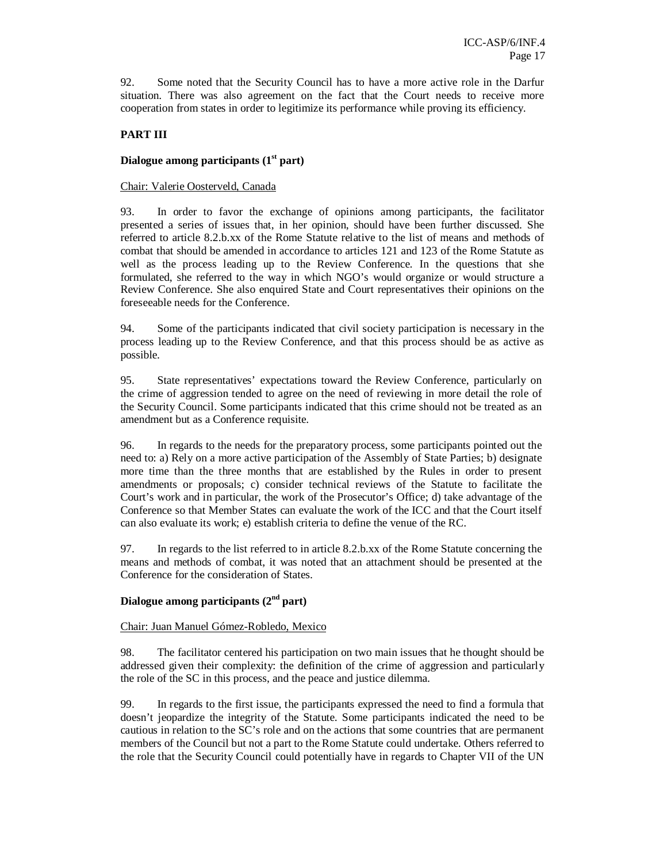92. Some noted that the Security Council has to have a more active role in the Darfur situation. There was also agreement on the fact that the Court needs to receive more cooperation from states in order to legitimize its performance while proving its efficiency.

# **PART III**

#### **Dialogue among participants (1st part)**

#### Chair: Valerie Oosterveld, Canada

93. In order to favor the exchange of opinions among participants, the facilitator presented a series of issues that, in her opinion, should have been further discussed. She referred to article 8.2.b.xx of the Rome Statute relative to the list of means and methods of combat that should be amended in accordance to articles 121 and 123 of the Rome Statute as well as the process leading up to the Review Conference. In the questions that she formulated, she referred to the way in which NGO's would organize or would structure a Review Conference. She also enquired State and Court representatives their opinions on the foreseeable needs for the Conference.

94. Some of the participants indicated that civil society participation is necessary in the process leading up to the Review Conference, and that this process should be as active as possible.

95. State representatives' expectations toward the Review Conference, particularly on the crime of aggression tended to agree on the need of reviewing in more detail the role of the Security Council. Some participants indicated that this crime should not be treated as an amendment but as a Conference requisite.

96. In regards to the needs for the preparatory process, some participants pointed out the need to: a) Rely on a more active participation of the Assembly of State Parties; b) designate more time than the three months that are established by the Rules in order to present amendments or proposals; c) consider technical reviews of the Statute to facilitate the Court's work and in particular, the work of the Prosecutor's Office; d) take advantage of the Conference so that Member States can evaluate the work of the ICC and that the Court itself can also evaluate its work; e) establish criteria to define the venue of the RC.

97. In regards to the list referred to in article 8.2.b.xx of the Rome Statute concerning the means and methods of combat, it was noted that an attachment should be presented at the Conference for the consideration of States.

#### **Dialogue among participants (2nd part)**

#### Chair: Juan Manuel Gómez-Robledo, Mexico

98. The facilitator centered his participation on two main issues that he thought should be addressed given their complexity: the definition of the crime of aggression and particularly the role of the SC in this process, and the peace and justice dilemma.

99. In regards to the first issue, the participants expressed the need to find a formula that doesn't jeopardize the integrity of the Statute. Some participants indicated the need to be cautious in relation to the SC's role and on the actions that some countries that are permanent members of the Council but not a part to the Rome Statute could undertake. Others referred to the role that the Security Council could potentially have in regards to Chapter VII of the UN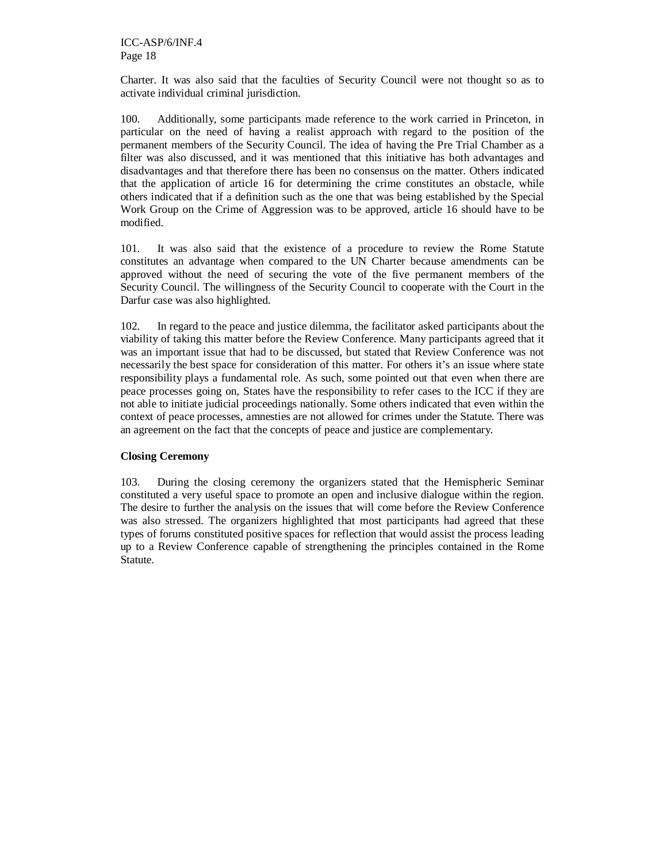Charter. It was also said that the faculties of Security Council were not thought so as to activate individual criminal jurisdiction.

100. Additionally, some participants made reference to the work carried in Princeton, in particular on the need of having a realist approach with regard to the position of the permanent members of the Security Council. The idea of having the Pre Trial Chamber as a filter was also discussed, and it was mentioned that this initiative has both advantages and disadvantages and that therefore there has been no consensus on the matter. Others indicated that the application of article 16 for determining the crime constitutes an obstacle, while others indicated that if a definition such as the one that was being established by the Special Work Group on the Crime of Aggression was to be approved, article 16 should have to be modified.

101. It was also said that the existence of a procedure to review the Rome Statute constitutes an advantage when compared to the UN Charter because amendments can be approved without the need of securing the vote of the five permanent members of the Security Council. The willingness of the Security Council to cooperate with the Court in the Darfur case was also highlighted.

102. In regard to the peace and justice dilemma, the facilitator asked participants about the viability of taking this matter before the Review Conference. Many participants agreed that it was an important issue that had to be discussed, but stated that Review Conference was not necessarily the best space for consideration of this matter. For others it's an issue where state responsibility plays a fundamental role. As such, some pointed out that even when there are peace processes going on, States have the responsibility to refer cases to the ICC if they are not able to initiate judicial proceedings nationally. Some others indicated that even within the context of peace processes, amnesties are not allowed for crimes under the Statute. There was an agreement on the fact that the concepts of peace and justice are complementary.

#### **Closing Ceremony**

103. During the closing ceremony the organizers stated that the Hemispheric Seminar constituted a very useful space to promote an open and inclusive dialogue within the region. The desire to further the analysis on the issues that will come before the Review Conference was also stressed. The organizers highlighted that most participants had agreed that these types of forums constituted positive spaces for reflection that would assist the process leading up to a Review Conference capable of strengthening the principles contained in the Rome Statute.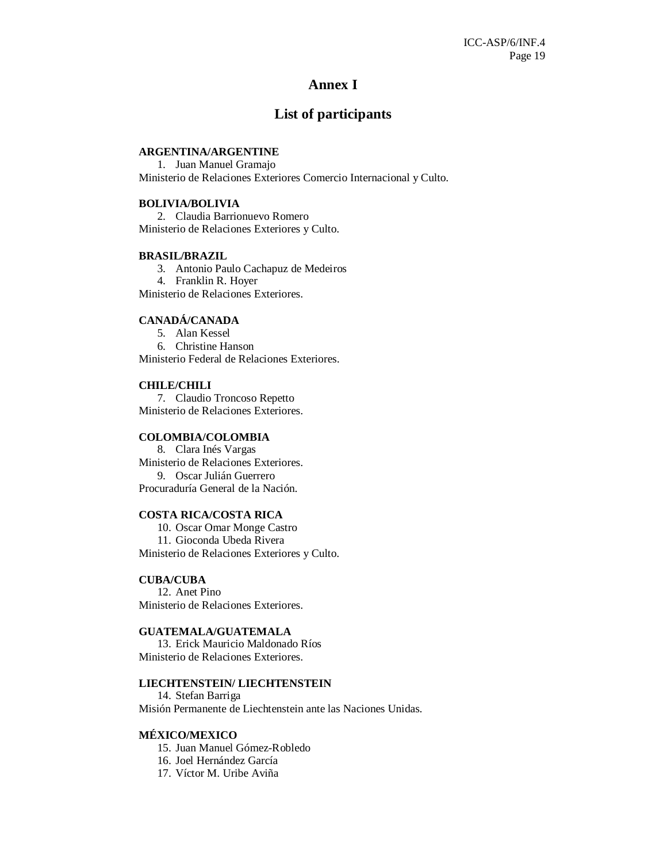# **Annex I**

# **List of participants**

# **ARGENTINA/ARGENTINE**

1. Juan Manuel Gramajo Ministerio de Relaciones Exteriores Comercio Internacional y Culto.

#### **BOLIVIA/BOLIVIA**

2. Claudia Barrionuevo Romero Ministerio de Relaciones Exteriores y Culto.

#### **BRASIL/BRAZIL**

3. Antonio Paulo Cachapuz de Medeiros 4. Franklin R. Hoyer Ministerio de Relaciones Exteriores.

#### **CANADÁ/CANADA**

5. Alan Kessel 6. Christine Hanson Ministerio Federal de Relaciones Exteriores.

#### **CHILE/CHILI**

7. Claudio Troncoso Repetto Ministerio de Relaciones Exteriores.

#### **COLOMBIA/COLOMBIA**

8. Clara Inés Vargas Ministerio de Relaciones Exteriores. 9. Oscar Julián Guerrero Procuraduría General de la Nación.

#### **COSTA RICA/COSTA RICA**

10. Oscar Omar Monge Castro 11. Gioconda Ubeda Rivera Ministerio de Relaciones Exteriores y Culto.

#### **CUBA/CUBA**

12. Anet Pino Ministerio de Relaciones Exteriores.

## **GUATEMALA/GUATEMALA**

13. Erick Mauricio Maldonado Ríos Ministerio de Relaciones Exteriores.

#### **LIECHTENSTEIN/ LIECHTENSTEIN**

14. Stefan Barriga Misión Permanente de Liechtenstein ante las Naciones Unidas.

#### **MÉXICO/MEXICO**

- 15. Juan Manuel Gómez-Robledo
- 16. Joel Hernández García
- 17. Víctor M. Uribe Aviña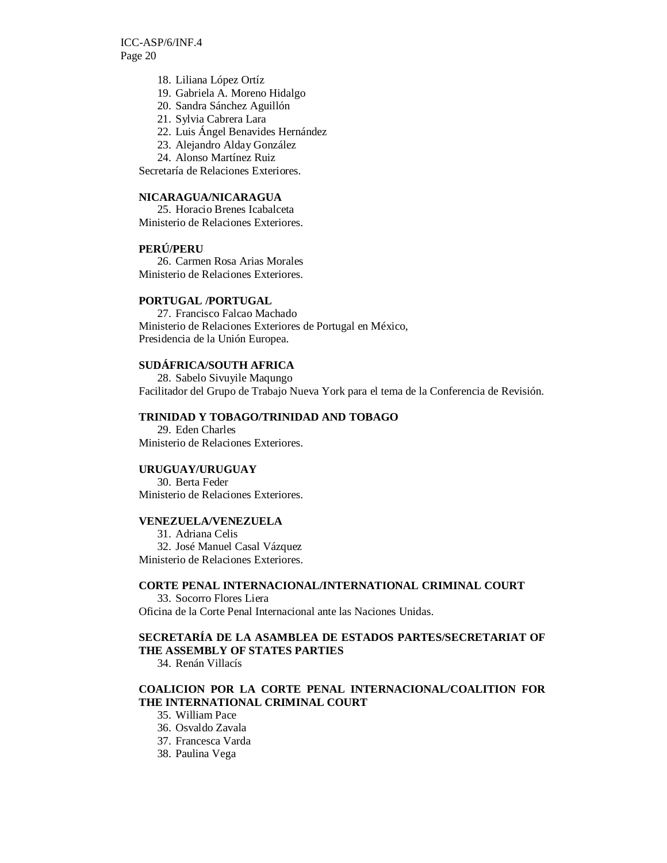- 18. Liliana López Ortíz
- 19. Gabriela A. Moreno Hidalgo
- 20. Sandra Sánchez Aguillón
- 21. Sylvia Cabrera Lara
- 22. Luis Ángel Benavides Hernández
- 23. Alejandro Alday González
- 24. Alonso Martínez Ruiz

Secretaría de Relaciones Exteriores.

# **NICARAGUA/NICARAGUA**

25. Horacio Brenes Icabalceta Ministerio de Relaciones Exteriores.

#### **PERÚ/PERU**

26. Carmen Rosa Arias Morales Ministerio de Relaciones Exteriores.

#### **PORTUGAL /PORTUGAL**

27. Francisco Falcao Machado Ministerio de Relaciones Exteriores de Portugal en México, Presidencia de la Unión Europea.

#### **SUDÁFRICA/SOUTH AFRICA**

28. Sabelo Sivuyile Maqungo Facilitador del Grupo de Trabajo Nueva York para el tema de la Conferencia de Revisión.

#### **TRINIDAD Y TOBAGO/TRINIDAD AND TOBAGO**

29. Eden Charles Ministerio de Relaciones Exteriores.

#### **URUGUAY/URUGUAY**

30. Berta Feder Ministerio de Relaciones Exteriores.

#### **VENEZUELA/VENEZUELA**

31. Adriana Celis 32. José Manuel Casal Vázquez Ministerio de Relaciones Exteriores.

#### **CORTE PENAL INTERNACIONAL/INTERNATIONAL CRIMINAL COURT**

33. Socorro Flores Liera Oficina de la Corte Penal Internacional ante las Naciones Unidas.

### **SECRETARÍA DE LA ASAMBLEA DE ESTADOS PARTES/SECRETARIAT OF THE ASSEMBLY OF STATES PARTIES**

34. Renán Villacís

# **COALICION POR LA CORTE PENAL INTERNACIONAL/COALITION FOR THE INTERNATIONAL CRIMINAL COURT**

#### 35. William Pace

- 36. Osvaldo Zavala
- 37. Francesca Varda
- 38. Paulina Vega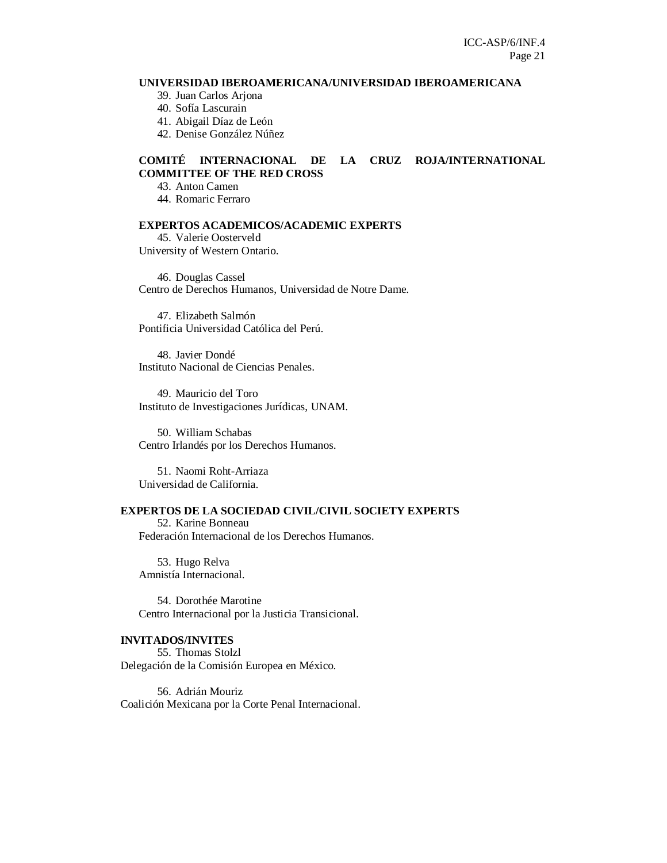#### **UNIVERSIDAD IBEROAMERICANA/UNIVERSIDAD IBEROAMERICANA**

39. Juan Carlos Arjona

40. Sofía Lascurain

41. Abigail Díaz de León

42. Denise González Núñez

#### **COMITÉ INTERNACIONAL DE LA CRUZ ROJA/INTERNATIONAL COMMITTEE OF THE RED CROSS**

43. Anton Camen

44. Romaric Ferraro

# **EXPERTOS ACADEMICOS/ACADEMIC EXPERTS**

45. Valerie Oosterveld University of Western Ontario.

46. Douglas Cassel Centro de Derechos Humanos, Universidad de Notre Dame.

47. Elizabeth Salmón Pontificia Universidad Católica del Perú.

48. Javier Dondé Instituto Nacional de Ciencias Penales.

49. Mauricio del Toro Instituto de Investigaciones Jurídicas, UNAM.

50. William Schabas Centro Irlandés por los Derechos Humanos.

51. Naomi Roht-Arriaza Universidad de California.

#### **EXPERTOS DE LA SOCIEDAD CIVIL/CIVIL SOCIETY EXPERTS**

52. Karine Bonneau Federación Internacional de los Derechos Humanos.

53. Hugo Relva Amnistía Internacional.

54. Dorothée Marotine Centro Internacional por la Justicia Transicional.

#### **INVITADOS/INVITES**

55. Thomas Stolzl Delegación de la Comisión Europea en México.

56. Adrián Mouriz Coalición Mexicana por la Corte Penal Internacional.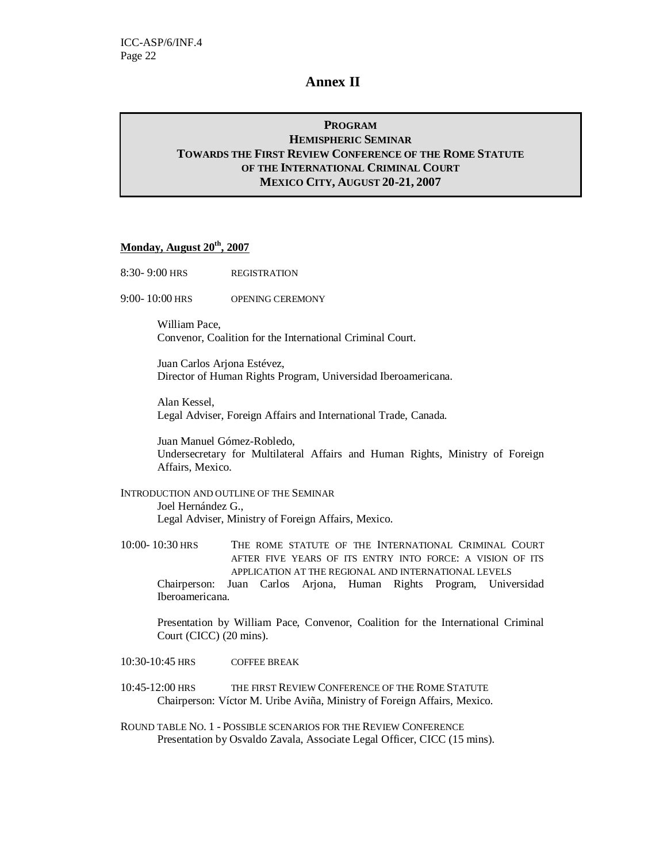# **Annex II**

# **PROGRAM HEMISPHERIC SEMINAR TOWARDS THE FIRST REVIEW CONFERENCE OF THE ROME STATUTE OF THE INTERNATIONAL CRIMINAL COURT MEXICO CITY, AUGUST 20-21, 2007**

# **Monday, August 20th, 2007**

- 8:30- 9:00 HRS REGISTRATION
- 9:00- 10:00 HRS OPENING CEREMONY

William Pace, Convenor, Coalition for the International Criminal Court.

Juan Carlos Arjona Estévez, Director of Human Rights Program, Universidad Iberoamericana.

Alan Kessel, Legal Adviser, Foreign Affairs and International Trade, Canada.

Juan Manuel Gómez-Robledo, Undersecretary for Multilateral Affairs and Human Rights, Ministry of Foreign Affairs, Mexico.

INTRODUCTION AND OUTLINE OF THE SEMINAR Joel Hernández G., Legal Adviser, Ministry of Foreign Affairs, Mexico.

10:00- 10:30 HRS THE ROME STATUTE OF THE INTERNATIONAL CRIMINAL COURT AFTER FIVE YEARS OF ITS ENTRY INTO FORCE: A VISION OF ITS APPLICATION AT THE REGIONAL AND INTERNATIONAL LEVELS Chairperson: Juan Carlos Arjona, Human Rights Program, Universidad Iberoamericana.

Presentation by William Pace, Convenor, Coalition for the International Criminal Court (CICC) (20 mins).

10:30-10:45 HRS COFFEE BREAK

10:45-12:00 HRS THE FIRST REVIEW CONFERENCE OF THE ROME STATUTE Chairperson: Víctor M. Uribe Aviña, Ministry of Foreign Affairs, Mexico.

ROUND TABLE NO. 1 - POSSIBLE SCENARIOS FOR THE REVIEW CONFERENCE Presentation by Osvaldo Zavala, Associate Legal Officer, CICC (15 mins).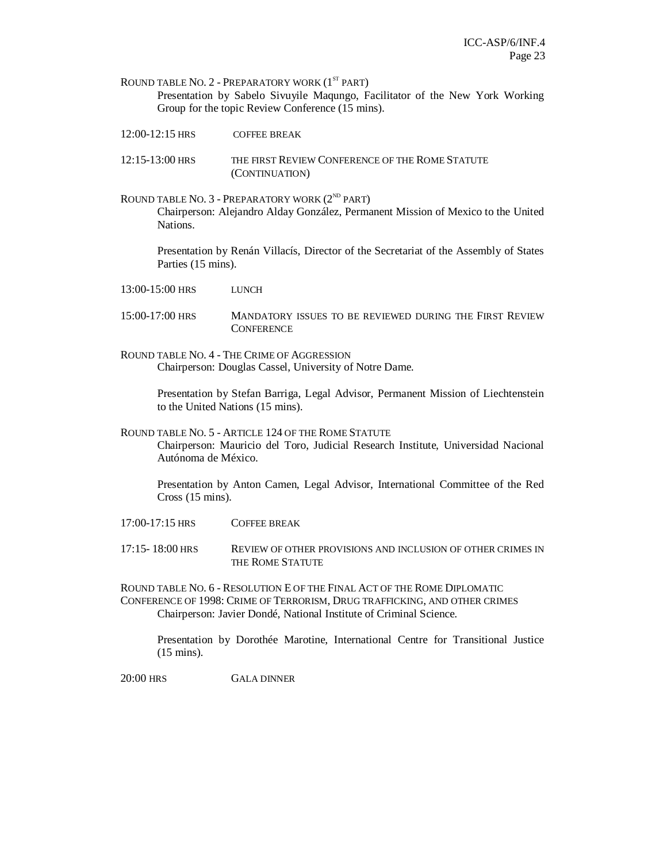ROUND TABLE NO.  $2$  - PREPARATORY WORK  $(1^{ST}$  PART) Presentation by Sabelo Sivuyile Maqungo, Facilitator of the New York Working Group for the topic Review Conference (15 mins).

- 12:00-12:15 HRS COFFEE BREAK
- 12:15-13:00 HRS THE FIRST REVIEW CONFERENCE OF THE ROME STATUTE (CONTINUATION)
- ROUND TABLE NO.  $3$  PREPARATORY WORK ( $2^{ND}$  PART) Chairperson: Alejandro Alday González, Permanent Mission of Mexico to the United Nations.

Presentation by Renán Villacís, Director of the Secretariat of the Assembly of States Parties (15 mins).

- 13:00-15:00 HRS LUNCH
- 15:00-17:00 HRS MANDATORY ISSUES TO BE REVIEWED DURING THE FIRST REVIEW **CONFERENCE**
- ROUND TABLE NO. 4 THE CRIME OF AGGRESSION Chairperson: Douglas Cassel, University of Notre Dame.

Presentation by Stefan Barriga, Legal Advisor, Permanent Mission of Liechtenstein to the United Nations (15 mins).

ROUND TABLE NO. 5 - ARTICLE 124 OF THE ROME STATUTE Chairperson: Mauricio del Toro, Judicial Research Institute, Universidad Nacional Autónoma de México.

Presentation by Anton Camen, Legal Advisor, International Committee of the Red Cross (15 mins).

17:00-17:15 HRS COFFEE BREAK

17:15- 18:00 HRS REVIEW OF OTHER PROVISIONS AND INCLUSION OF OTHER CRIMES IN THE ROME STATUTE

ROUND TABLE NO. 6 - RESOLUTION E OF THE FINAL ACT OF THE ROME DIPLOMATIC CONFERENCE OF 1998: CRIME OF TERRORISM, DRUG TRAFFICKING, AND OTHER CRIMES Chairperson: Javier Dondé, National Institute of Criminal Science.

Presentation by Dorothée Marotine, International Centre for Transitional Justice (15 mins).

20:00 HRS GALA DINNER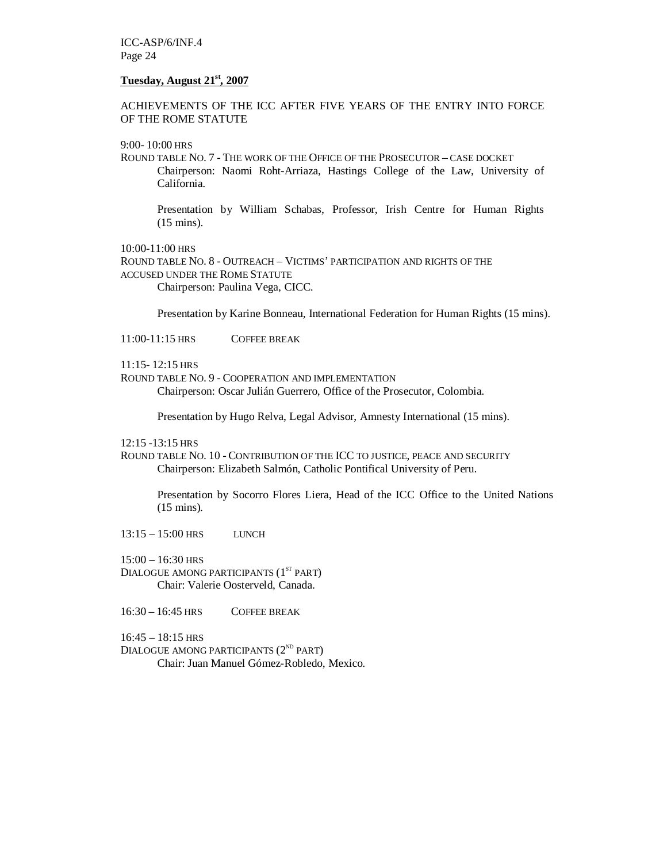ICC-ASP/6/INF.4 Page 24

#### **Tuesday, August 21st, 2007**

ACHIEVEMENTS OF THE ICC AFTER FIVE YEARS OF THE ENTRY INTO FORCE OF THE ROME STATUTE

9:00- 10:00 HRS

ROUND TABLE NO. 7 - THE WORK OF THE OFFICE OF THE PROSECUTOR – CASE DOCKET Chairperson: Naomi Roht-Arriaza, Hastings College of the Law, University of California.

Presentation by William Schabas, Professor, Irish Centre for Human Rights (15 mins).

 $10:00-11:00$  HRS ROUND TABLE NO. 8 - OUTREACH – VICTIMS' PARTICIPATION AND RIGHTS OF THE ACCUSED UNDER THE ROME STATUTE Chairperson: Paulina Vega, CICC.

Presentation by Karine Bonneau, International Federation for Human Rights (15 mins).

11:00-11:15 HRS COFFEE BREAK

11:15- 12:15 HRS

ROUND TABLE NO. 9 - COOPERATION AND IMPLEMENTATION Chairperson: Oscar Julián Guerrero, Office of the Prosecutor, Colombia.

Presentation by Hugo Relva, Legal Advisor, Amnesty International (15 mins).

12:15 -13:15 HRS

ROUND TABLE NO. 10 - CONTRIBUTION OF THE ICC TO JUSTICE, PEACE AND SECURITY Chairperson: Elizabeth Salmón, Catholic Pontifical University of Peru.

Presentation by Socorro Flores Liera, Head of the ICC Office to the United Nations (15 mins)*.*

13:15 – 15:00 HRS LUNCH

 $15:00 - 16:30$  HRS

DIALOGUE AMONG PARTICIPANTS (1<sup>ST</sup> PART) Chair: Valerie Oosterveld, Canada.

16:30 – 16:45 HRS COFFEE BREAK

 $16:45 - 18:15$  HRS

DIALOGUE AMONG PARTICIPANTS  $(2^{ND}$  PART) Chair: Juan Manuel Gómez-Robledo, Mexico.